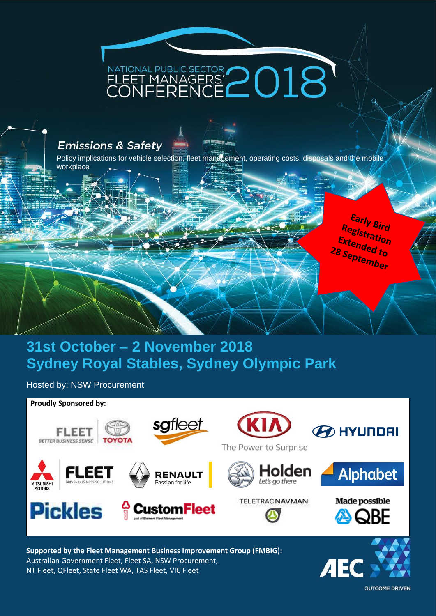# NATIONAL PUBLIC SECTOR<br>FLEET MANAGERS' $2018$

#### **Emissions & Safety**

Policy implications for vehicle selection, fleet management, operating costs, disposals and the mobile workplace

### **31st October – 2 November 2018 Sydney Royal Stables, Sydney Olympic Park**

Hosted by: NSW Procurement



**Supported by the Fleet Management Business Improvement Group (FMBIG):** Australian Government Fleet, Fleet SA, NSW Procurement, NT Fleet, QFleet, State Fleet WA, TAS Fleet, VIC Fleet

ДE

Early Bird<br><sup>Beist</sup> Registration<br>Extended Extended to 28 September

**OUTCOME DRIVEN**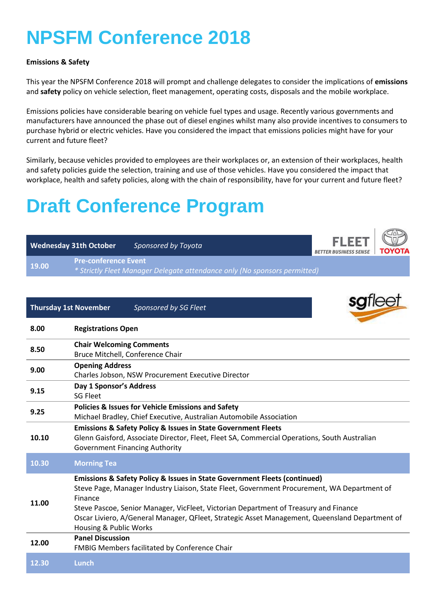## **NPSFM Conference 2018**

#### **Emissions & Safety**

This year the NPSFM Conference 2018 will prompt and challenge delegates to consider the implications of **emissions** and **safety** policy on vehicle selection, fleet management, operating costs, disposals and the mobile workplace.

Emissions policies have considerable bearing on vehicle fuel types and usage. Recently various governments and manufacturers have announced the phase out of diesel engines whilst many also provide incentives to consumers to purchase hybrid or electric vehicles. Have you considered the impact that emissions policies might have for your current and future fleet?

Similarly, because vehicles provided to employees are their workplaces or, an extension of their workplaces, health and safety policies guide the selection, training and use of those vehicles. Have you considered the impact that workplace, health and safety policies, along with the chain of responsibility, have for your current and future fleet?

## **Draft Conference Program**

|       | <b>Wednesday 31th October</b> | Sponsored by Toyota                                                       | <b>FLEET</b><br><b>BETTER BUSINESS SENSE</b> | <b>TOYOTA</b> |
|-------|-------------------------------|---------------------------------------------------------------------------|----------------------------------------------|---------------|
| 19.00 | <b>Pre-conference Event</b>   | * Strictly Fleet Manager Delegate attendance only (No sponsors permitted) |                                              |               |
|       |                               |                                                                           |                                              |               |
|       | <b>Thursday 1st November</b>  | Sponsored by SG Fleet                                                     |                                              | sgfleet       |
|       |                               |                                                                           |                                              |               |

| 8.00  | <b>Registrations Open</b>                                                                                                                                                                                                                                                                                                                                                                                              |
|-------|------------------------------------------------------------------------------------------------------------------------------------------------------------------------------------------------------------------------------------------------------------------------------------------------------------------------------------------------------------------------------------------------------------------------|
| 8.50  | <b>Chair Welcoming Comments</b><br>Bruce Mitchell, Conference Chair                                                                                                                                                                                                                                                                                                                                                    |
| 9.00  | <b>Opening Address</b><br>Charles Jobson, NSW Procurement Executive Director                                                                                                                                                                                                                                                                                                                                           |
| 9.15  | Day 1 Sponsor's Address<br>SG Fleet                                                                                                                                                                                                                                                                                                                                                                                    |
| 9.25  | <b>Policies &amp; Issues for Vehicle Emissions and Safety</b><br>Michael Bradley, Chief Executive, Australian Automobile Association                                                                                                                                                                                                                                                                                   |
| 10.10 | <b>Emissions &amp; Safety Policy &amp; Issues in State Government Fleets</b><br>Glenn Gaisford, Associate Director, Fleet, Fleet SA, Commercial Operations, South Australian<br><b>Government Financing Authority</b>                                                                                                                                                                                                  |
| 10.30 | <b>Morning Tea</b>                                                                                                                                                                                                                                                                                                                                                                                                     |
| 11.00 | <b>Emissions &amp; Safety Policy &amp; Issues in State Government Fleets (continued)</b><br>Steve Page, Manager Industry Liaison, State Fleet, Government Procurement, WA Department of<br>Finance<br>Steve Pascoe, Senior Manager, VicFleet, Victorian Department of Treasury and Finance<br>Oscar Liviero, A/General Manager, QFleet, Strategic Asset Management, Queensland Department of<br>Housing & Public Works |
| 12.00 | <b>Panel Discussion</b><br>FMBIG Members facilitated by Conference Chair                                                                                                                                                                                                                                                                                                                                               |
| 12.30 | Lunch                                                                                                                                                                                                                                                                                                                                                                                                                  |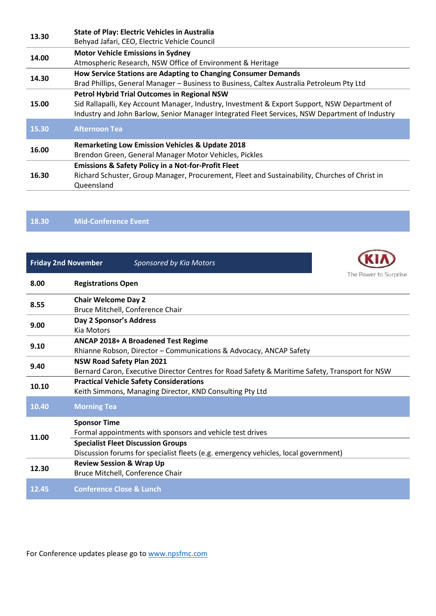| 13.30 | <b>State of Play: Electric Vehicles in Australia</b>                                           |  |  |
|-------|------------------------------------------------------------------------------------------------|--|--|
| 14.00 | Behyad Jafari, CEO, Electric Vehicle Council                                                   |  |  |
|       | <b>Motor Vehicle Emissions in Sydney</b>                                                       |  |  |
| 14.30 | Atmospheric Research, NSW Office of Environment & Heritage                                     |  |  |
|       | How Service Stations are Adapting to Changing Consumer Demands                                 |  |  |
|       | Brad Phillips, General Manager - Business to Business, Caltex Australia Petroleum Pty Ltd      |  |  |
|       | <b>Petrol Hybrid Trial Outcomes in Regional NSW</b>                                            |  |  |
| 15.00 | Sid Rallapalli, Key Account Manager, Industry, Investment & Export Support, NSW Department of  |  |  |
|       | Industry and John Barlow, Senior Manager Integrated Fleet Services, NSW Department of Industry |  |  |
| 15.30 | <b>Afternoon Tea</b>                                                                           |  |  |
|       |                                                                                                |  |  |
|       | <b>Remarketing Low Emission Vehicles &amp; Update 2018</b>                                     |  |  |
| 16.00 | Brendon Green, General Manager Motor Vehicles, Pickles                                         |  |  |
|       | <b>Emissions &amp; Safety Policy in a Not-for-Profit Fleet</b>                                 |  |  |
| 16.30 | Richard Schuster, Group Manager, Procurement, Fleet and Sustainability, Churches of Christ in  |  |  |
|       | Queensland                                                                                     |  |  |

**18.30 Mid-Conference Event**

|       | <b>Friday 2nd November</b><br>Sponsored by Kia Motors                                                                              |  |  |  |
|-------|------------------------------------------------------------------------------------------------------------------------------------|--|--|--|
| 8.00  | The Power to Surprise<br><b>Registrations Open</b>                                                                                 |  |  |  |
| 8.55  | <b>Chair Welcome Day 2</b><br>Bruce Mitchell, Conference Chair                                                                     |  |  |  |
| 9.00  | Day 2 Sponsor's Address<br>Kia Motors                                                                                              |  |  |  |
| 9.10  | ANCAP 2018+ A Broadened Test Regime<br>Rhianne Robson, Director - Communications & Advocacy, ANCAP Safety                          |  |  |  |
| 9.40  | <b>NSW Road Safety Plan 2021</b><br>Bernard Caron, Executive Director Centres for Road Safety & Maritime Safety, Transport for NSW |  |  |  |
| 10.10 | <b>Practical Vehicle Safety Considerations</b><br>Keith Simmons, Managing Director, KND Consulting Pty Ltd                         |  |  |  |
| 10.40 | <b>Morning Tea</b>                                                                                                                 |  |  |  |
| 11.00 | <b>Sponsor Time</b><br>Formal appointments with sponsors and vehicle test drives                                                   |  |  |  |
|       | <b>Specialist Fleet Discussion Groups</b><br>Discussion forums for specialist fleets (e.g. emergency vehicles, local government)   |  |  |  |
| 12.30 | <b>Review Session &amp; Wrap Up</b><br>Bruce Mitchell, Conference Chair                                                            |  |  |  |
| 12.45 | <b>Conference Close &amp; Lunch</b>                                                                                                |  |  |  |

For Conference updates please go to [www.npsfmc.com](http://www.npsfmc.com/)